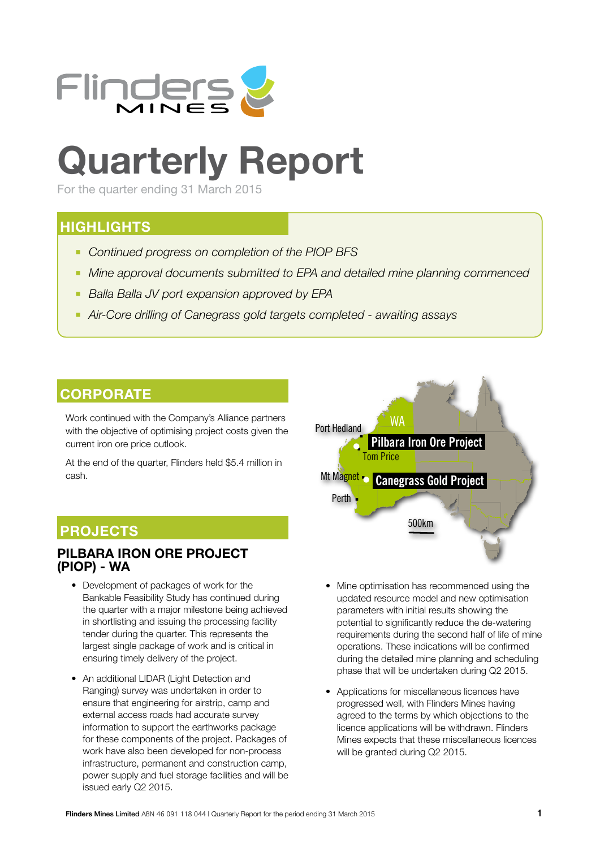

# **Quarterly Report**

For the quarter ending 31 March 2015

### **HIGHLIGHTS**

- *Continued progress on completion of the PIOP BFS*
- *Mine approval documents submitted to EPA and detailed mine planning commenced*
- *Balla Balla JV port expansion approved by EPA*
- *Air-Core drilling of Canegrass gold targets completed awaiting assays*

### **CORPORATE**

Work continued with the Company's Alliance partners with the objective of optimising project costs given the current iron ore price outlook.

At the end of the quarter, Flinders held \$5.4 million in cash.

### **PROJECTS**

### **PILBARA IRON ORE PROJECT (PIOP) - WA**

- Development of packages of work for the Bankable Feasibility Study has continued during the quarter with a major milestone being achieved in shortlisting and issuing the processing facility tender during the quarter. This represents the largest single package of work and is critical in ensuring timely delivery of the project.
- An additional LIDAR (Light Detection and Ranging) survey was undertaken in order to ensure that engineering for airstrip, camp and external access roads had accurate survey information to support the earthworks package for these components of the project. Packages of work have also been developed for non-process infrastructure, permanent and construction camp, power supply and fuel storage facilities and will be issued early Q2 2015.



- Mine optimisation has recommenced using the updated resource model and new optimisation parameters with initial results showing the potential to significantly reduce the de-watering requirements during the second half of life of mine operations. These indications will be confirmed during the detailed mine planning and scheduling phase that will be undertaken during Q2 2015.
- Applications for miscellaneous licences have progressed well, with Flinders Mines having agreed to the terms by which objections to the licence applications will be withdrawn. Flinders Mines expects that these miscellaneous licences will be granted during Q2 2015.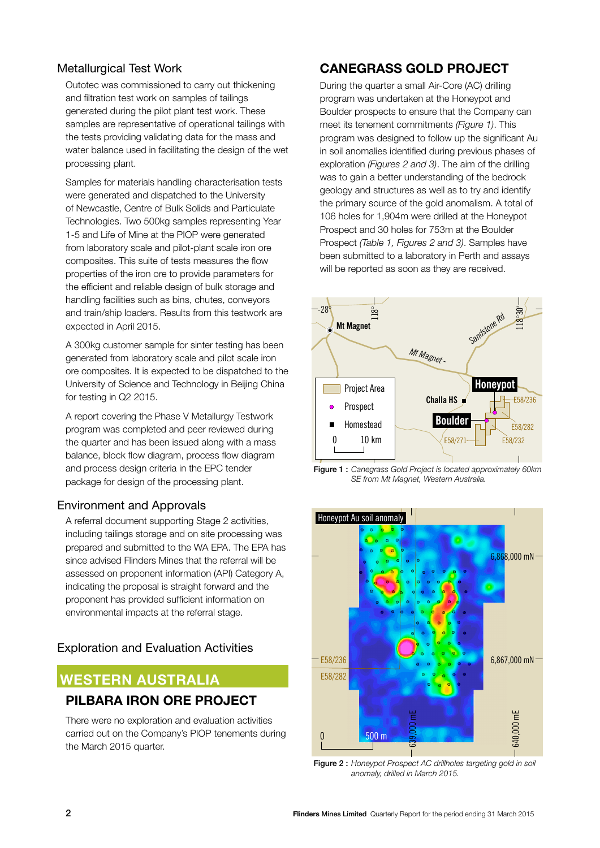#### Metallurgical Test Work

Outotec was commissioned to carry out thickening and filtration test work on samples of tailings generated during the pilot plant test work. These samples are representative of operational tailings with the tests providing validating data for the mass and water balance used in facilitating the design of the wet processing plant.

Samples for materials handling characterisation tests were generated and dispatched to the University of Newcastle, Centre of Bulk Solids and Particulate Technologies. Two 500kg samples representing Year 1-5 and Life of Mine at the PIOP were generated from laboratory scale and pilot-plant scale iron ore composites. This suite of tests measures the flow properties of the iron ore to provide parameters for the efficient and reliable design of bulk storage and handling facilities such as bins, chutes, conveyors and train/ship loaders. Results from this testwork are expected in April 2015.

A 300kg customer sample for sinter testing has been generated from laboratory scale and pilot scale iron ore composites. It is expected to be dispatched to the University of Science and Technology in Beijing China for testing in Q2 2015.

A report covering the Phase V Metallurgy Testwork program was completed and peer reviewed during the quarter and has been issued along with a mass balance, block flow diagram, process flow diagram and process design criteria in the EPC tender package for design of the processing plant.

#### Environment and Approvals

A referral document supporting Stage 2 activities, including tailings storage and on site processing was prepared and submitted to the WA EPA. The EPA has since advised Flinders Mines that the referral will be assessed on proponent information (API) Category A, indicating the proposal is straight forward and the proponent has provided sufficient information on environmental impacts at the referral stage.

### Exploration and Evaluation Activities

### **WESTERN AUSTRALIA**

### **PILBARA IRON ORE PROJECT**

There were no exploration and evaluation activities carried out on the Company's PIOP tenements during the March 2015 quarter.

### **CANEGRASS GOLD PROJECT**

During the quarter a small Air-Core (AC) drilling program was undertaken at the Honeypot and Boulder prospects to ensure that the Company can meet its tenement commitments *(Figure 1)*. This program was designed to follow up the significant Au in soil anomalies identified during previous phases of exploration *(Figures 2 and 3)*. The aim of the drilling was to gain a better understanding of the bedrock geology and structures as well as to try and identify the primary source of the gold anomalism. A total of 106 holes for 1,904m were drilled at the Honeypot Prospect and 30 holes for 753m at the Boulder Prospect *(Table 1, Figures 2 and 3)*. Samples have been submitted to a laboratory in Perth and assays will be reported as soon as they are received.



Figure 1 : *Canegrass Gold Project is located approximately 60km SE from Mt Magnet, Western Australia.*



Figure 2 : *Honeypot Prospect AC drillholes targeting gold in soil anomaly, drilled in March 2015.*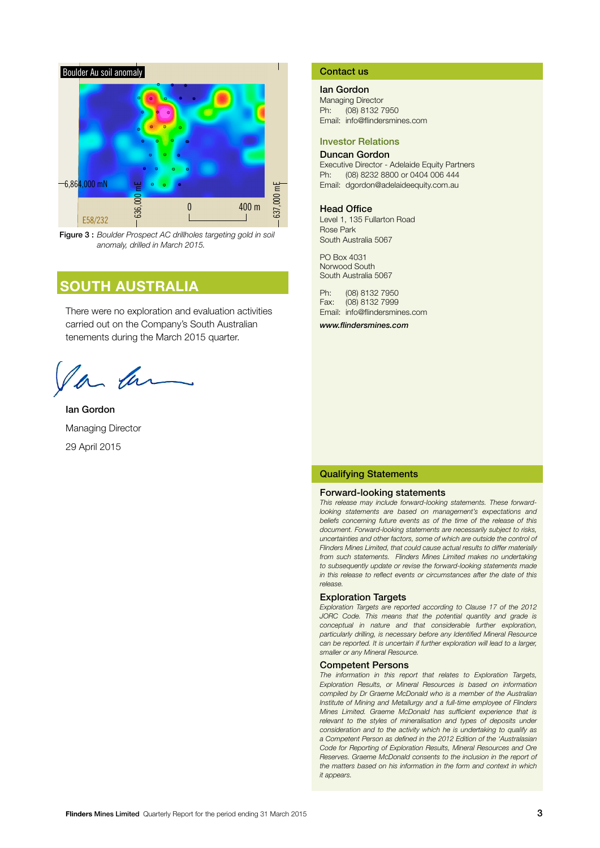

Figure 3 : *Boulder Prospect AC drillholes targeting gold in soil anomaly, drilled in March 2015.*

### **SOUTH AUSTRALIA**

There were no exploration and evaluation activities carried out on the Company's South Australian tenements during the March 2015 quarter.

Ian Gordon Managing Director 29 April 2015

#### Contact us

#### Ian Gordon

Managing Director Ph: (08) 8132 7950 Email: info@flindersmines.com

#### Investor Relations

#### Duncan Gordon

Executive Director - Adelaide Equity Partners Ph: (08) 8232 8800 or 0404 006 444 Email: dgordon@adelaideequity.com.au

#### Head Office

Level 1, 135 Fullarton Road Rose Park South Australia 5067

PO Box 4031 Norwood South South Australia 5067

Ph: (08) 8132 7950 Fax: (08) 8132 7999 Email: info@flindersmines.com

*www.flindersmines.com*

#### Qualifying Statements

#### Forward-looking statements

*This release may include forward-looking statements. These forwardlooking statements are based on management's expectations and beliefs concerning future events as of the time of the release of this document. Forward-looking statements are necessarily subject to risks, uncertainties and other factors, some of which are outside the control of Flinders Mines Limited, that could cause actual results to differ materially from such statements. Flinders Mines Limited makes no undertaking to subsequently update or revise the forward-looking statements made in this release to reflect events or circumstances after the date of this release.*

#### Exploration Targets

*Exploration Targets are reported according to Clause 17 of the 2012 JORC Code. This means that the potential quantity and grade is conceptual in nature and that considerable further exploration, particularly drilling, is necessary before any Identified Mineral Resource*  can be reported. It is uncertain if further exploration will lead to a larger, *smaller or any Mineral Resource.*

#### Competent Persons

*The information in this report that relates to Exploration Targets, Exploration Results, or Mineral Resources is based on information compiled by Dr Graeme McDonald who is a member of the Australian Institute of Mining and Metallurgy and a full-time employee of Flinders Mines Limited. Graeme McDonald has sufficient experience that is*  relevant to the styles of mineralisation and types of deposits under *consideration and to the activity which he is undertaking to qualify as a Competent Person as defined in the 2012 Edition of the 'Australasian Code for Reporting of Exploration Results, Mineral Resources and Ore Reserves. Graeme McDonald consents to the inclusion in the report of the matters based on his information in the form and context in which it appears.*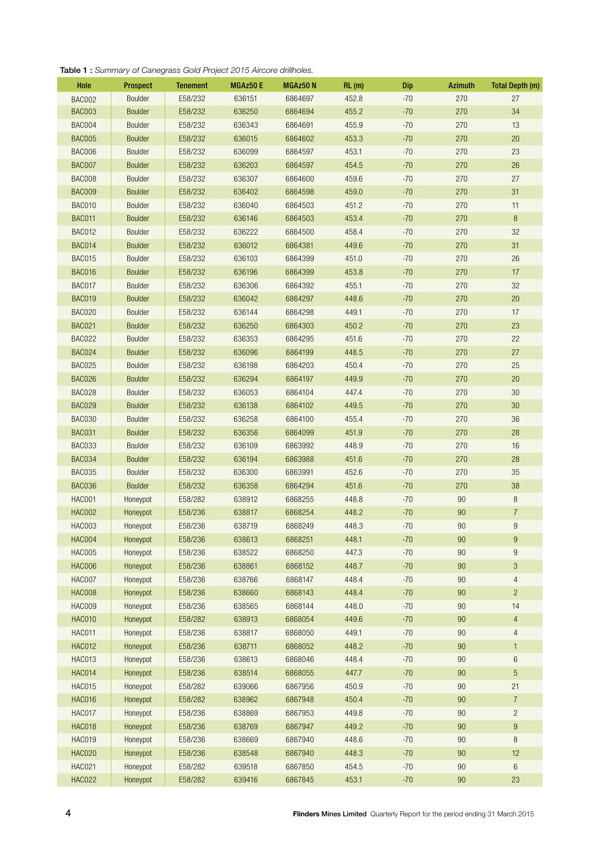#### Table 1 : *Summary of Canegrass Gold Project 2015 Aircore drillholes.*

| Hole          | <b>Prospect</b> | <b>Tenement</b> | MGAz50 E | MGAz50N | RL(m) | Dip   | <b>Azimuth</b> | <b>Total Depth (m)</b> |
|---------------|-----------------|-----------------|----------|---------|-------|-------|----------------|------------------------|
| <b>BAC002</b> | Boulder         | E58/232         | 636151   | 6864697 | 452.8 | $-70$ | 270            | 27                     |
| <b>BAC003</b> | <b>Boulder</b>  | E58/232         | 636250   | 6864694 | 455.2 | $-70$ | 270            | 34                     |
| BAC004        | Boulder         | E58/232         | 636343   | 6864691 | 455.9 | $-70$ | 270            | 13                     |
| <b>BAC005</b> | <b>Boulder</b>  | E58/232         | 636015   | 6864602 | 453.3 | $-70$ | 270            | $20\,$                 |
| BAC006        | <b>Boulder</b>  | E58/232         | 636099   | 6864597 | 453.1 | $-70$ | 270            | 23                     |
| <b>BAC007</b> | <b>Boulder</b>  | E58/232         | 636203   | 6864597 | 454.5 | $-70$ | 270            | $26\,$                 |
| <b>BAC008</b> | Boulder         | E58/232         | 636307   | 6864600 | 459.6 | $-70$ | 270            | 27                     |
| <b>BAC009</b> | <b>Boulder</b>  | E58/232         | 636402   | 6864598 | 459.0 | $-70$ | 270            | 31                     |
| <b>BAC010</b> | Boulder         | E58/232         | 636040   | 6864503 | 451.2 | $-70$ | 270            | 11                     |
| BAC011        | <b>Boulder</b>  | E58/232         | 636146   | 6864503 | 453.4 | $-70$ | 270            | 8                      |
| <b>BAC012</b> | Boulder         | E58/232         | 636222   | 6864500 | 458.4 | $-70$ | 270            | 32                     |
| <b>BAC014</b> | <b>Boulder</b>  | E58/232         | 636012   | 6864381 | 449.6 | $-70$ | 270            | 31                     |
| <b>BAC015</b> | Boulder         | E58/232         | 636103   | 6864399 | 451.0 | $-70$ | 270            | $26\,$                 |
| BAC016        | <b>Boulder</b>  | E58/232         | 636196   | 6864399 | 453.8 | $-70$ | 270            | 17                     |
| BAC017        | Boulder         | E58/232         | 636306   | 6864392 | 455.1 | $-70$ | 270            | 32                     |
| <b>BAC019</b> | <b>Boulder</b>  | E58/232         | 636042   | 6864297 | 448.6 | $-70$ | 270            | $20\,$                 |
| BAC020        | <b>Boulder</b>  | E58/232         | 636144   | 6864298 | 449.1 | $-70$ | 270            | 17                     |
| <b>BAC021</b> | <b>Boulder</b>  | E58/232         | 636250   | 6864303 | 450.2 | $-70$ | 270            | 23                     |
| BAC022        | Boulder         | E58/232         | 636353   | 6864295 | 451.6 | $-70$ | 270            | 22                     |
| <b>BAC024</b> | <b>Boulder</b>  | E58/232         | 636096   | 6864199 | 448.5 | $-70$ | 270            | 27                     |
| <b>BAC025</b> | Boulder         | E58/232         | 636198   | 6864203 | 450.4 | $-70$ | 270            | $25\,$                 |
| <b>BAC026</b> | <b>Boulder</b>  | E58/232         | 636294   | 6864197 | 449.9 | $-70$ | 270            | $20\,$                 |
| BAC028        | Boulder         | E58/232         | 636053   | 6864104 | 447.4 | $-70$ | 270            | $30\,$                 |
| <b>BAC029</b> | <b>Boulder</b>  | E58/232         | 636138   | 6864102 | 449.5 | $-70$ | 270            | $30\,$                 |
| <b>BAC030</b> | Boulder         | E58/232         | 636258   | 6864100 | 455.4 | $-70$ | 270            | 36                     |
| <b>BAC031</b> | <b>Boulder</b>  | E58/232         | 636356   | 6864099 | 451.9 | $-70$ | 270            | 28                     |
| BAC033        | Boulder         | E58/232         | 636109   | 6863992 | 448.9 | $-70$ | 270            | 16                     |
| <b>BAC034</b> | <b>Boulder</b>  | E58/232         | 636194   | 6863988 | 451.6 | $-70$ | 270            | 28                     |
| BAC035        | Boulder         | E58/232         | 636300   | 6863991 | 452.6 | $-70$ | 270            | 35                     |
| BAC036        | Boulder         | E58/232         | 636358   | 6864294 | 451.6 | $-70$ | 270            | 38                     |
| <b>HAC001</b> | Honeypot        | E58/282         | 638912   | 6868255 | 448.8 | $-70$ | 90             | $\,8\,$                |
| <b>HAC002</b> | Honeypot        | E58/236         | 638817   | 6868254 | 448.2 | $-70$ | 90             | $\overline{7}$         |
| <b>HAC003</b> | Honeypot        | E58/236         | 638719   | 6868249 | 448.3 | $-70$ | 90             | $\boldsymbol{9}$       |
| <b>HAC004</b> | Honeypot        | E58/236         | 638613   | 6868251 | 448.1 | $-70$ | 90             | $\boldsymbol{9}$       |
| <b>HAC005</b> | Honeypot        | E58/236         | 638522   | 6868250 | 447.3 | $-70$ | 90             | $\boldsymbol{9}$       |
| <b>HAC006</b> | Honeypot        | E58/236         | 638861   | 6868152 | 448.7 | $-70$ | 90             | $\mathfrak{Z}$         |
| <b>HAC007</b> | Honeypot        | E58/236         | 638766   | 6868147 | 448.4 | $-70$ | 90             | $\overline{4}$         |
| <b>HAC008</b> | Honeypot        | E58/236         | 638660   | 6868143 | 448.4 | $-70$ | 90             | $\sqrt{2}$             |
| <b>HAC009</b> | Honeypot        | E58/236         | 638565   | 6868144 | 448.0 | $-70$ | $90\,$         | $14\,$                 |
| <b>HAC010</b> | Honeypot        | E58/282         | 638913   | 6868054 | 449.6 | $-70$ | $90\,$         | $\overline{4}$         |
| <b>HAC011</b> | Honeypot        | E58/236         | 638817   | 6868050 | 449.1 | $-70$ | 90             | $\overline{4}$         |
| <b>HAC012</b> | Honeypot        | E58/236         | 638711   | 6868052 | 448.2 | $-70$ | 90             | $\mathbf{1}$           |
| <b>HAC013</b> | Honeypot        | E58/236         | 638613   | 6868046 | 448.4 | $-70$ | $90\,$         | $6\,$                  |
| <b>HAC014</b> | Honeypot        | E58/236         | 638514   | 6868055 | 447.7 | $-70$ | 90             | $\sqrt{5}$             |
| <b>HAC015</b> | Honeypot        | E58/282         | 639066   | 6867956 | 450.9 | $-70$ | 90             | 21                     |
| <b>HAC016</b> | Honeypot        | E58/282         | 638962   | 6867948 | 450.4 | $-70$ | 90             | $\overline{7}$         |
| HAC017        | Honeypot        | E58/236         | 638869   | 6867953 | 449.8 | $-70$ | 90             | $\overline{c}$         |
| <b>HAC018</b> | Honeypot        | E58/236         | 638769   | 6867947 | 449.2 | $-70$ | $90\,$         | $\boldsymbol{9}$       |
| <b>HAC019</b> | Honeypot        | E58/236         | 638669   | 6867940 | 448.6 | $-70$ | $90\,$         | $\,8\,$                |
| <b>HAC020</b> | Honeypot        | E58/236         | 638548   | 6867940 | 448.3 | $-70$ | 90             | 12                     |
| <b>HAC021</b> | Honeypot        | E58/282         | 639518   | 6867850 | 454.5 | $-70$ | $90\,$         | $\,6\,$                |
| <b>HAC022</b> | Honeypot        | E58/282         | 639416   | 6867845 | 453.1 | $-70$ | $90\,$         | 23                     |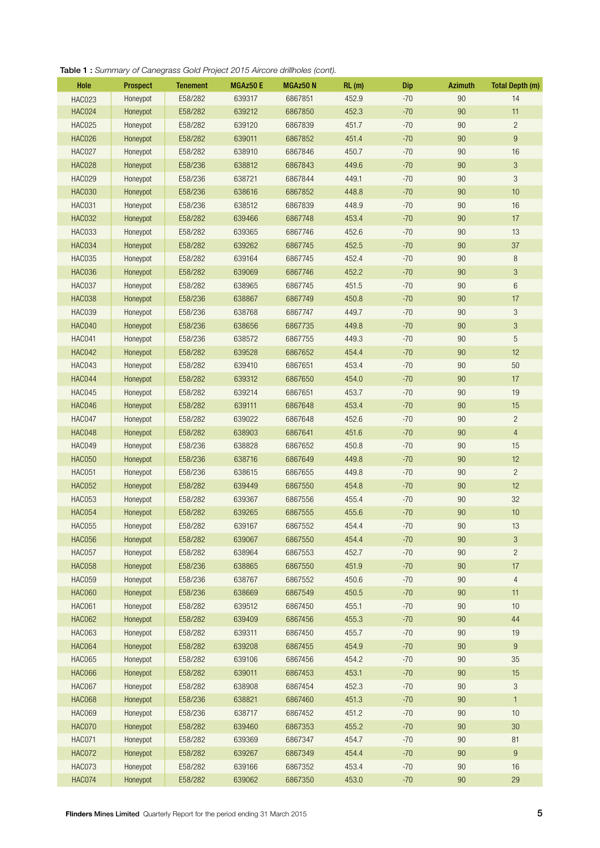#### Table 1 : *Summary of Canegrass Gold Project 2015 Aircore drillholes (cont).*

| Hole          | <b>Prospect</b> | <b>Tenement</b> | MGAz50 E | MGAz50 N | RL(m) | <b>Dip</b> | <b>Azimuth</b> | <b>Total Depth (m)</b>    |
|---------------|-----------------|-----------------|----------|----------|-------|------------|----------------|---------------------------|
| <b>HAC023</b> | Honeypot        | E58/282         | 639317   | 6867851  | 452.9 | $-70$      | 90             | 14                        |
| <b>HAC024</b> | Honeypot        | E58/282         | 639212   | 6867850  | 452.3 | $-70$      | 90             | 11                        |
| <b>HAC025</b> | Honeypot        | E58/282         | 639120   | 6867839  | 451.7 | $-70$      | 90             | $\overline{c}$            |
| <b>HAC026</b> | Honeypot        | E58/282         | 639011   | 6867852  | 451.4 | $-70$      | 90             | $\boldsymbol{9}$          |
| <b>HAC027</b> | Honeypot        | E58/282         | 638910   | 6867846  | 450.7 | $-70$      | 90             | $16\,$                    |
| <b>HAC028</b> | Honeypot        | E58/236         | 638812   | 6867843  | 449.6 | $-70$      | 90             | $\mathfrak{B}$            |
| <b>HAC029</b> | Honeypot        | E58/236         | 638721   | 6867844  | 449.1 | $-70$      | 90             | 3                         |
| <b>HAC030</b> | Honeypot        | E58/236         | 638616   | 6867852  | 448.8 | $-70$      | 90             | 10                        |
| <b>HAC031</b> | Honeypot        | E58/236         | 638512   | 6867839  | 448.9 | $-70$      | 90             | 16                        |
| <b>HAC032</b> | Honeypot        | E58/282         | 639466   | 6867748  | 453.4 | $-70$      | 90             | 17                        |
| HAC033        | Honeypot        | E58/282         | 639365   | 6867746  | 452.6 | $-70$      | 90             | 13                        |
| <b>HAC034</b> | Honeypot        | E58/282         | 639262   | 6867745  | 452.5 | $-70$      | 90             | 37                        |
| <b>HAC035</b> | Honeypot        | E58/282         | 639164   | 6867745  | 452.4 | $-70$      | 90             | $\, 8$                    |
| HAC036        | Honeypot        | E58/282         | 639069   | 6867746  | 452.2 | $-70$      | 90             | $\sqrt{3}$                |
| HAC037        | Honeypot        | E58/282         | 638965   | 6867745  | 451.5 | $-70$      | 90             | $\,6$                     |
| <b>HAC038</b> | Honeypot        | E58/236         | 638867   | 6867749  | 450.8 | $-70$      | 90             | 17                        |
| <b>HAC039</b> | Honeypot        | E58/236         | 638768   | 6867747  | 449.7 | $-70$      | 90             | $\sqrt{3}$                |
| <b>HAC040</b> | Honeypot        | E58/236         | 638656   | 6867735  | 449.8 | $-70$      | 90             | $\sqrt{3}$                |
| HAC041        | Honeypot        | E58/236         | 638572   | 6867755  | 449.3 | $-70$      | 90             | $\sqrt{5}$                |
| <b>HAC042</b> | Honeypot        | E58/282         | 639528   | 6867652  | 454.4 | $-70$      | 90             | 12                        |
| HAC043        | Honeypot        | E58/282         | 639410   | 6867651  | 453.4 | $-70$      | 90             | 50                        |
| HAC044        | Honeypot        | E58/282         | 639312   | 6867650  | 454.0 | $-70$      | 90             | 17                        |
| HAC045        | Honeypot        | E58/282         | 639214   | 6867651  | 453.7 | $-70$      | 90             | 19                        |
| HAC046        | Honeypot        | E58/282         | 639111   | 6867648  | 453.4 | $-70$      | 90             | 15                        |
| HAC047        | Honeypot        | E58/282         | 639022   | 6867648  | 452.6 | $-70$      | 90             | $\overline{c}$            |
| <b>HAC048</b> | Honeypot        | E58/282         | 638903   | 6867641  | 451.6 | $-70$      | 90             | $\overline{4}$            |
| HAC049        | Honeypot        | E58/236         | 638828   | 6867652  | 450.8 | $-70$      | 90             | 15                        |
| <b>HAC050</b> | Honeypot        | E58/236         | 638716   | 6867649  | 449.8 | $-70$      | 90             | 12                        |
| <b>HAC051</b> | Honeypot        | E58/236         | 638615   | 6867655  | 449.8 | $-70$      | 90             | $\overline{c}$            |
| <b>HAC052</b> | Honeypot        | E58/282         | 639449   | 6867550  | 454.8 | $-70$      | 90             | 12                        |
| <b>HAC053</b> | Honeypot        | E58/282         | 639367   | 6867556  | 455.4 | $-70$      | 90             | 32                        |
| <b>HAC054</b> | Honeypot        | E58/282         | 639265   | 6867555  | 455.6 | $-70$      | 90             | 10                        |
| <b>HAC055</b> | Honeypot        | E58/282         | 639167   | 6867552  | 454.4 | $-70$      | 90             | 13                        |
| <b>HAC056</b> | Honeypot        | E58/282         | 639067   | 6867550  | 454.4 | $-70$      | 90             | 3                         |
| HAC057        | Honeypot        | E58/282         | 638964   | 6867553  | 452.7 | $-70$      | 90             | $\overline{c}$            |
| <b>HAC058</b> | Honeypot        | E58/236         | 638865   | 6867550  | 451.9 | $-70$      | 90             | 17                        |
| <b>HAC059</b> | Honeypot        | E58/236         | 638767   | 6867552  | 450.6 | $-70$      | 90             | $\overline{4}$            |
| <b>HAC060</b> | Honeypot        | E58/236         | 638669   | 6867549  | 450.5 | $-70$      | 90             | 11                        |
| <b>HAC061</b> | Honeypot        | E58/282         | 639512   | 6867450  | 455.1 | $-70$      | 90             | 10                        |
| <b>HAC062</b> | Honeypot        | E58/282         | 639409   | 6867456  | 455.3 | $-70$      | 90             | 44                        |
| <b>HAC063</b> | Honeypot        | E58/282         | 639311   | 6867450  | 455.7 | $-70$      | 90             | 19                        |
| <b>HAC064</b> | Honeypot        | E58/282         | 639208   | 6867455  | 454.9 | $-70$      | 90             | $\boldsymbol{9}$          |
| <b>HAC065</b> | Honeypot        | E58/282         | 639106   | 6867456  | 454.2 | $-70$      | 90             | 35                        |
| <b>HAC066</b> | Honeypot        | E58/282         | 639011   | 6867453  | 453.1 | $-70$      | 90             | $15\,$                    |
| HAC067        | Honeypot        | E58/282         | 638908   | 6867454  | 452.3 | $-70$      | 90             | $\ensuremath{\mathsf{3}}$ |
| <b>HAC068</b> | Honeypot        | E58/236         | 638821   | 6867460  | 451.3 | $-70$      | 90             | $\mathbf{1}$              |
| <b>HAC069</b> | Honeypot        | E58/236         | 638717   | 6867452  | 451.2 | $-70$      | 90             | $10$                      |
| <b>HAC070</b> | Honeypot        | E58/282         | 639460   | 6867353  | 455.2 | $-70$      | 90             | $30\,$                    |
| <b>HAC071</b> | Honeypot        | E58/282         | 639369   | 6867347  | 454.7 | $-70$      | 90             | 81                        |
| <b>HAC072</b> | Honeypot        | E58/282         | 639267   | 6867349  | 454.4 | $-70$      | 90             | 9                         |
| HAC073        | Honeypot        | E58/282         | 639166   | 6867352  | 453.4 | $-70$      | 90             | $16\,$                    |
| <b>HAC074</b> | Honeypot        | E58/282         | 639062   | 6867350  | 453.0 | $-70$      | 90             | 29                        |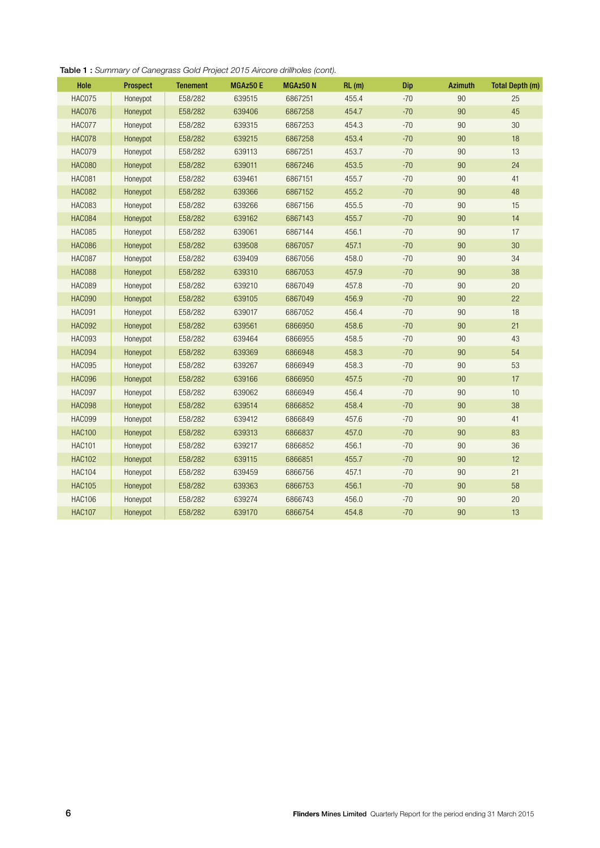| <b>Table 1:</b> Summary of Canegrass Gold Project 2015 Aircore drillholes (cont). |  |  |  |  |  |  |  |  |  |  |
|-----------------------------------------------------------------------------------|--|--|--|--|--|--|--|--|--|--|
|-----------------------------------------------------------------------------------|--|--|--|--|--|--|--|--|--|--|

| <b>Hole</b>   | <b>Prospect</b> | <b>Tenement</b> | MGAz50 E | MGAz50 N | RL(m) | Dip   | <b>Azimuth</b> | <b>Total Depth (m)</b> |
|---------------|-----------------|-----------------|----------|----------|-------|-------|----------------|------------------------|
| <b>HAC075</b> | Honeypot        | E58/282         | 639515   | 6867251  | 455.4 | $-70$ | 90             | 25                     |
| <b>HAC076</b> | Honeypot        | E58/282         | 639406   | 6867258  | 454.7 | $-70$ | 90             | 45                     |
| HAC077        | Honeypot        | E58/282         | 639315   | 6867253  | 454.3 | $-70$ | 90             | 30                     |
| <b>HAC078</b> | Honeypot        | E58/282         | 639215   | 6867258  | 453.4 | $-70$ | 90             | 18                     |
| <b>HAC079</b> | Honeypot        | E58/282         | 639113   | 6867251  | 453.7 | $-70$ | 90             | 13                     |
| <b>HAC080</b> | Honeypot        | E58/282         | 639011   | 6867246  | 453.5 | $-70$ | 90             | 24                     |
| <b>HAC081</b> | Honeypot        | E58/282         | 639461   | 6867151  | 455.7 | $-70$ | 90             | 41                     |
| <b>HAC082</b> | Honeypot        | E58/282         | 639366   | 6867152  | 455.2 | $-70$ | 90             | 48                     |
| <b>HAC083</b> | Honeypot        | E58/282         | 639266   | 6867156  | 455.5 | $-70$ | 90             | 15                     |
| <b>HAC084</b> | Honeypot        | E58/282         | 639162   | 6867143  | 455.7 | $-70$ | 90             | 14                     |
| <b>HAC085</b> | Honeypot        | E58/282         | 639061   | 6867144  | 456.1 | $-70$ | 90             | 17                     |
| <b>HAC086</b> | Honeypot        | E58/282         | 639508   | 6867057  | 457.1 | $-70$ | 90             | 30                     |
| <b>HAC087</b> | Honeypot        | E58/282         | 639409   | 6867056  | 458.0 | $-70$ | 90             | 34                     |
| <b>HAC088</b> | Honeypot        | E58/282         | 639310   | 6867053  | 457.9 | $-70$ | 90             | 38                     |
| <b>HAC089</b> | Honeypot        | E58/282         | 639210   | 6867049  | 457.8 | $-70$ | 90             | 20                     |
| <b>HAC090</b> | Honeypot        | E58/282         | 639105   | 6867049  | 456.9 | $-70$ | 90             | 22                     |
| <b>HAC091</b> | Honeypot        | E58/282         | 639017   | 6867052  | 456.4 | $-70$ | 90             | 18                     |
| <b>HAC092</b> | Honeypot        | E58/282         | 639561   | 6866950  | 458.6 | $-70$ | 90             | 21                     |
| <b>HAC093</b> | Honeypot        | E58/282         | 639464   | 6866955  | 458.5 | $-70$ | 90             | 43                     |
| <b>HAC094</b> | Honeypot        | E58/282         | 639369   | 6866948  | 458.3 | $-70$ | 90             | 54                     |
| <b>HAC095</b> | Honeypot        | E58/282         | 639267   | 6866949  | 458.3 | $-70$ | 90             | 53                     |
| <b>HAC096</b> | Honeypot        | E58/282         | 639166   | 6866950  | 457.5 | $-70$ | 90             | 17                     |
| <b>HAC097</b> | Honeypot        | E58/282         | 639062   | 6866949  | 456.4 | $-70$ | 90             | 10                     |
| <b>HAC098</b> | Honeypot        | E58/282         | 639514   | 6866852  | 458.4 | $-70$ | 90             | 38                     |
| <b>HAC099</b> | Honeypot        | E58/282         | 639412   | 6866849  | 457.6 | $-70$ | 90             | 41                     |
| <b>HAC100</b> | Honeypot        | E58/282         | 639313   | 6866837  | 457.0 | $-70$ | 90             | 83                     |
| <b>HAC101</b> | Honeypot        | E58/282         | 639217   | 6866852  | 456.1 | $-70$ | 90             | 36                     |
| <b>HAC102</b> | Honeypot        | E58/282         | 639115   | 6866851  | 455.7 | $-70$ | 90             | 12                     |
| <b>HAC104</b> | Honeypot        | E58/282         | 639459   | 6866756  | 457.1 | $-70$ | 90             | 21                     |
| <b>HAC105</b> | Honeypot        | E58/282         | 639363   | 6866753  | 456.1 | $-70$ | 90             | 58                     |
| <b>HAC106</b> | Honeypot        | E58/282         | 639274   | 6866743  | 456.0 | $-70$ | 90             | 20                     |
| <b>HAC107</b> | Honeypot        | E58/282         | 639170   | 6866754  | 454.8 | $-70$ | 90             | 13                     |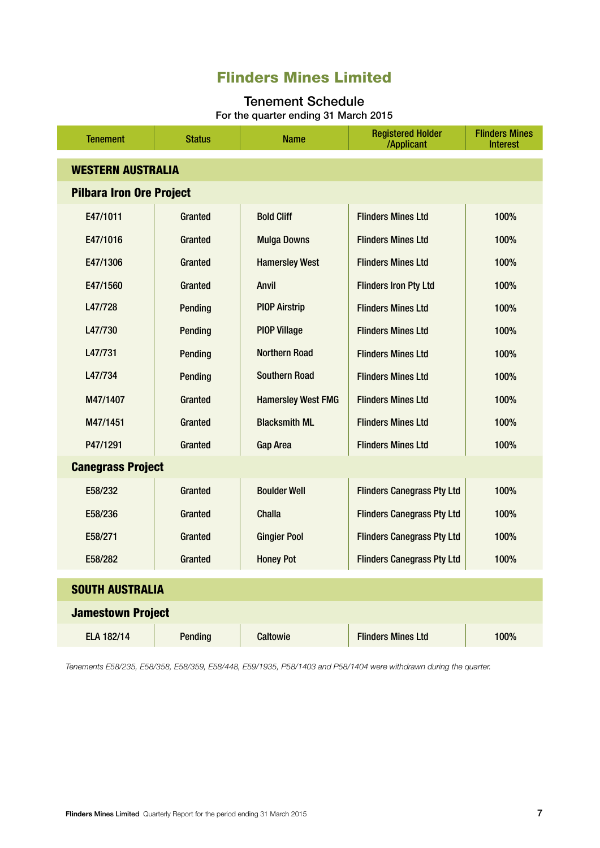### Flinders Mines Limited

#### Tenement Schedule For the quarter ending 31 March 2015

| <b>Tenement</b>                 | <b>Status</b>  | <b>Name</b>               | <b>Registered Holder</b><br>/Applicant | <b>Flinders Mines</b><br><b>Interest</b> |  |  |
|---------------------------------|----------------|---------------------------|----------------------------------------|------------------------------------------|--|--|
| <b>WESTERN AUSTRALIA</b>        |                |                           |                                        |                                          |  |  |
| <b>Pilbara Iron Ore Project</b> |                |                           |                                        |                                          |  |  |
| E47/1011                        | Granted        | <b>Bold Cliff</b>         | <b>Flinders Mines Ltd</b>              | 100%                                     |  |  |
| E47/1016                        | Granted        | <b>Mulga Downs</b>        | <b>Flinders Mines Ltd</b>              | 100%                                     |  |  |
| E47/1306                        | Granted        | <b>Hamersley West</b>     | <b>Flinders Mines Ltd</b>              | 100%                                     |  |  |
| E47/1560                        | Granted        | <b>Anvil</b>              | <b>Flinders Iron Pty Ltd</b>           | 100%                                     |  |  |
| L47/728                         | Pending        | <b>PIOP Airstrip</b>      | <b>Flinders Mines Ltd</b>              | 100%                                     |  |  |
| L47/730                         | Pending        | <b>PIOP Village</b>       | <b>Flinders Mines Ltd</b>              | 100%                                     |  |  |
| L47/731                         | Pending        | <b>Northern Road</b>      | <b>Flinders Mines Ltd</b>              | 100%                                     |  |  |
| L47/734                         | Pending        | <b>Southern Road</b>      | <b>Flinders Mines Ltd</b>              | 100%                                     |  |  |
| M47/1407                        | Granted        | <b>Hamersley West FMG</b> | <b>Flinders Mines Ltd</b>              | 100%                                     |  |  |
| M47/1451                        | Granted        | <b>Blacksmith ML</b>      | <b>Flinders Mines Ltd</b>              | 100%                                     |  |  |
| P47/1291                        | Granted        | <b>Gap Area</b>           | <b>Flinders Mines Ltd</b>              | 100%                                     |  |  |
| <b>Canegrass Project</b>        |                |                           |                                        |                                          |  |  |
| E58/232                         | Granted        | <b>Boulder Well</b>       | <b>Flinders Canegrass Pty Ltd</b>      | 100%                                     |  |  |
| E58/236                         | Granted        | <b>Challa</b>             | <b>Flinders Canegrass Pty Ltd</b>      | 100%                                     |  |  |
| E58/271                         | Granted        | <b>Gingier Pool</b>       | <b>Flinders Canegrass Pty Ltd</b>      | 100%                                     |  |  |
| E58/282                         | Granted        | <b>Honey Pot</b>          | <b>Flinders Canegrass Pty Ltd</b>      | 100%                                     |  |  |
| <b>SOUTH AUSTRALIA</b>          |                |                           |                                        |                                          |  |  |
| <b>Jamestown Project</b>        |                |                           |                                        |                                          |  |  |
| ELA 182/14                      | <b>Pending</b> | <b>Caltowie</b>           | <b>Flinders Mines Ltd</b>              | 100%                                     |  |  |

*Tenements E58/235, E58/358, E58/359, E58/448, E59/1935, P58/1403 and P58/1404 were withdrawn during the quarter.*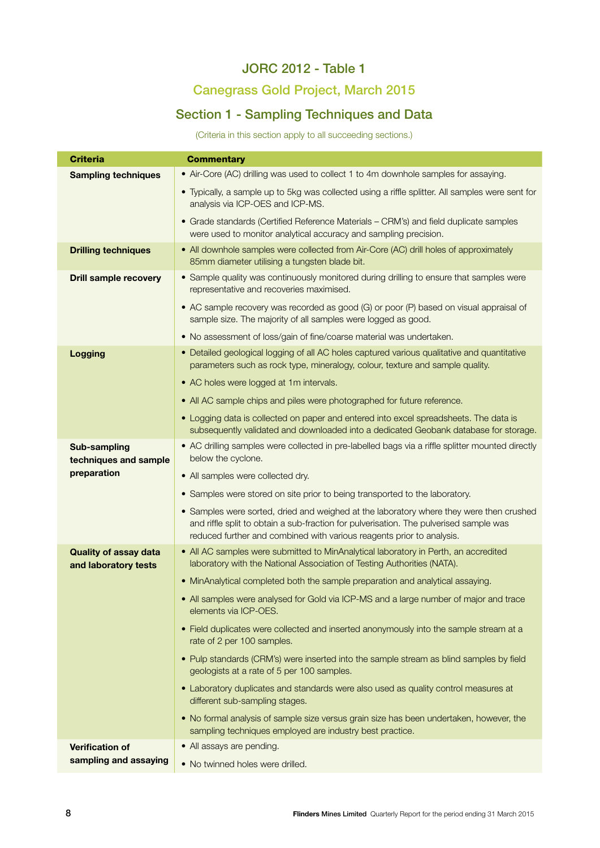### JORC 2012 - Table 1

### Canegrass Gold Project, March 2015

### Section 1 - Sampling Techniques and Data

(Criteria in this section apply to all succeeding sections.)

| <b>Criteria</b>                                      | <b>Commentary</b>                                                                                                                                                                                                                                          |  |  |  |
|------------------------------------------------------|------------------------------------------------------------------------------------------------------------------------------------------------------------------------------------------------------------------------------------------------------------|--|--|--|
| <b>Sampling techniques</b>                           | • Air-Core (AC) drilling was used to collect 1 to 4m downhole samples for assaying.                                                                                                                                                                        |  |  |  |
|                                                      | • Typically, a sample up to 5kg was collected using a riffle splitter. All samples were sent for<br>analysis via ICP-OES and ICP-MS.                                                                                                                       |  |  |  |
|                                                      | • Grade standards (Certified Reference Materials - CRM's) and field duplicate samples<br>were used to monitor analytical accuracy and sampling precision.                                                                                                  |  |  |  |
| <b>Drilling techniques</b>                           | • All downhole samples were collected from Air-Core (AC) drill holes of approximately<br>85mm diameter utilising a tungsten blade bit.                                                                                                                     |  |  |  |
| <b>Drill sample recovery</b>                         | • Sample quality was continuously monitored during drilling to ensure that samples were<br>representative and recoveries maximised.                                                                                                                        |  |  |  |
|                                                      | • AC sample recovery was recorded as good (G) or poor (P) based on visual appraisal of<br>sample size. The majority of all samples were logged as good.                                                                                                    |  |  |  |
|                                                      | • No assessment of loss/gain of fine/coarse material was undertaken.                                                                                                                                                                                       |  |  |  |
| <b>Logging</b>                                       | • Detailed geological logging of all AC holes captured various qualitative and quantitative<br>parameters such as rock type, mineralogy, colour, texture and sample quality.                                                                               |  |  |  |
|                                                      | • AC holes were logged at 1m intervals.                                                                                                                                                                                                                    |  |  |  |
|                                                      | • All AC sample chips and piles were photographed for future reference.                                                                                                                                                                                    |  |  |  |
|                                                      | • Logging data is collected on paper and entered into excel spreadsheets. The data is<br>subsequently validated and downloaded into a dedicated Geobank database for storage.                                                                              |  |  |  |
| Sub-sampling<br>techniques and sample                | • AC drilling samples were collected in pre-labelled bags via a riffle splitter mounted directly<br>below the cyclone.                                                                                                                                     |  |  |  |
| preparation                                          | • All samples were collected dry.                                                                                                                                                                                                                          |  |  |  |
|                                                      | • Samples were stored on site prior to being transported to the laboratory.                                                                                                                                                                                |  |  |  |
|                                                      | • Samples were sorted, dried and weighed at the laboratory where they were then crushed<br>and riffle split to obtain a sub-fraction for pulverisation. The pulverised sample was<br>reduced further and combined with various reagents prior to analysis. |  |  |  |
| <b>Quality of assay data</b><br>and laboratory tests | • All AC samples were submitted to MinAnalytical laboratory in Perth, an accredited<br>laboratory with the National Association of Testing Authorities (NATA).                                                                                             |  |  |  |
|                                                      | • MinAnalytical completed both the sample preparation and analytical assaying.                                                                                                                                                                             |  |  |  |
|                                                      | • All samples were analysed for Gold via ICP-MS and a large number of major and trace<br>elements via ICP-OES.                                                                                                                                             |  |  |  |
|                                                      | • Field duplicates were collected and inserted anonymously into the sample stream at a<br>rate of 2 per 100 samples.                                                                                                                                       |  |  |  |
|                                                      | . Pulp standards (CRM's) were inserted into the sample stream as blind samples by field<br>geologists at a rate of 5 per 100 samples.                                                                                                                      |  |  |  |
|                                                      | • Laboratory duplicates and standards were also used as quality control measures at<br>different sub-sampling stages.                                                                                                                                      |  |  |  |
|                                                      | • No formal analysis of sample size versus grain size has been undertaken, however, the<br>sampling techniques employed are industry best practice.                                                                                                        |  |  |  |
| <b>Verification of</b>                               | • All assays are pending.                                                                                                                                                                                                                                  |  |  |  |
| sampling and assaying                                | . No twinned holes were drilled.                                                                                                                                                                                                                           |  |  |  |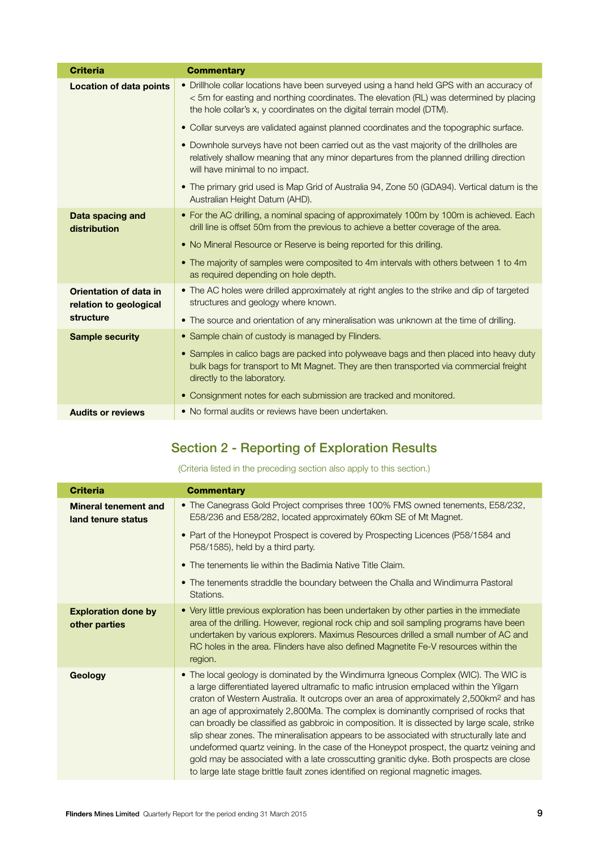| <b>Criteria</b>                                  | <b>Commentary</b>                                                                                                                                                                                                                                              |
|--------------------------------------------------|----------------------------------------------------------------------------------------------------------------------------------------------------------------------------------------------------------------------------------------------------------------|
| <b>Location of data points</b>                   | • Drillhole collar locations have been surveyed using a hand held GPS with an accuracy of<br>< 5m for easting and northing coordinates. The elevation (RL) was determined by placing<br>the hole collar's x, y coordinates on the digital terrain model (DTM). |
|                                                  | • Collar surveys are validated against planned coordinates and the topographic surface.                                                                                                                                                                        |
|                                                  | • Downhole surveys have not been carried out as the vast majority of the drillholes are<br>relatively shallow meaning that any minor departures from the planned drilling direction<br>will have minimal to no impact.                                         |
|                                                  | • The primary grid used is Map Grid of Australia 94, Zone 50 (GDA94). Vertical datum is the<br>Australian Height Datum (AHD).                                                                                                                                  |
| Data spacing and<br>distribution                 | • For the AC drilling, a nominal spacing of approximately 100m by 100m is achieved. Each<br>drill line is offset 50m from the previous to achieve a better coverage of the area.                                                                               |
|                                                  | • No Mineral Resource or Reserve is being reported for this drilling.                                                                                                                                                                                          |
|                                                  | • The majority of samples were composited to 4m intervals with others between 1 to 4m<br>as required depending on hole depth.                                                                                                                                  |
| Orientation of data in<br>relation to geological | • The AC holes were drilled approximately at right angles to the strike and dip of targeted<br>structures and geology where known.                                                                                                                             |
| structure                                        | • The source and orientation of any mineralisation was unknown at the time of drilling.                                                                                                                                                                        |
| <b>Sample security</b>                           | • Sample chain of custody is managed by Flinders.                                                                                                                                                                                                              |
|                                                  | • Samples in calico bags are packed into polyweave bags and then placed into heavy duty<br>bulk bags for transport to Mt Magnet. They are then transported via commercial freight<br>directly to the laboratory.                                               |
|                                                  | • Consignment notes for each submission are tracked and monitored.                                                                                                                                                                                             |
| <b>Audits or reviews</b>                         | • No formal audits or reviews have been undertaken.                                                                                                                                                                                                            |

### Section 2 - Reporting of Exploration Results

(Criteria listed in the preceding section also apply to this section.)

| <b>Criteria</b>                                   | <b>Commentary</b>                                                                                                                                                                                                                                                                                                                                                                                                                                                                                                                                                                                                                                                                                                                                                                                                                                  |
|---------------------------------------------------|----------------------------------------------------------------------------------------------------------------------------------------------------------------------------------------------------------------------------------------------------------------------------------------------------------------------------------------------------------------------------------------------------------------------------------------------------------------------------------------------------------------------------------------------------------------------------------------------------------------------------------------------------------------------------------------------------------------------------------------------------------------------------------------------------------------------------------------------------|
| <b>Mineral tenement and</b><br>land tenure status | • The Canegrass Gold Project comprises three 100% FMS owned tenements, E58/232,<br>E58/236 and E58/282, located approximately 60km SE of Mt Magnet.                                                                                                                                                                                                                                                                                                                                                                                                                                                                                                                                                                                                                                                                                                |
|                                                   | • Part of the Honeypot Prospect is covered by Prospecting Licences (P58/1584 and<br>P58/1585), held by a third party.                                                                                                                                                                                                                                                                                                                                                                                                                                                                                                                                                                                                                                                                                                                              |
|                                                   | • The tenements lie within the Badimia Native Title Claim.                                                                                                                                                                                                                                                                                                                                                                                                                                                                                                                                                                                                                                                                                                                                                                                         |
|                                                   | • The tenements straddle the boundary between the Challa and Windimurra Pastoral<br>Stations.                                                                                                                                                                                                                                                                                                                                                                                                                                                                                                                                                                                                                                                                                                                                                      |
| <b>Exploration done by</b><br>other parties       | • Very little previous exploration has been undertaken by other parties in the immediate<br>area of the drilling. However, regional rock chip and soil sampling programs have been<br>undertaken by various explorers. Maximus Resources drilled a small number of AC and<br>RC holes in the area. Flinders have also defined Magnetite Fe-V resources within the<br>region.                                                                                                                                                                                                                                                                                                                                                                                                                                                                       |
| Geology                                           | • The local geology is dominated by the Windimurra Igneous Complex (WIC). The WIC is<br>a large differentiated layered ultramafic to mafic intrusion emplaced within the Yilgarn<br>craton of Western Australia. It outcrops over an area of approximately 2,500km <sup>2</sup> and has<br>an age of approximately 2,800Ma. The complex is dominantly comprised of rocks that<br>can broadly be classified as gabbroic in composition. It is dissected by large scale, strike<br>slip shear zones. The mineralisation appears to be associated with structurally late and<br>undeformed quartz veining. In the case of the Honeypot prospect, the quartz veining and<br>gold may be associated with a late crosscutting granitic dyke. Both prospects are close<br>to large late stage brittle fault zones identified on regional magnetic images. |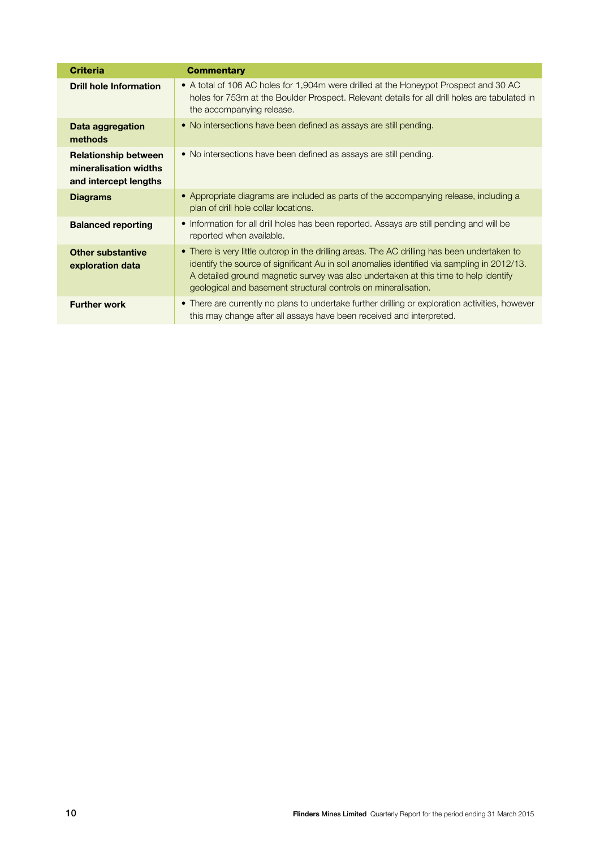| <b>Criteria</b>                                                               | <b>Commentary</b>                                                                                                                                                                                                                                                                                                                                    |
|-------------------------------------------------------------------------------|------------------------------------------------------------------------------------------------------------------------------------------------------------------------------------------------------------------------------------------------------------------------------------------------------------------------------------------------------|
| <b>Drill hole Information</b>                                                 | • A total of 106 AC holes for 1,904m were drilled at the Honeypot Prospect and 30 AC<br>holes for 753m at the Boulder Prospect. Relevant details for all drill holes are tabulated in<br>the accompanying release.                                                                                                                                   |
| Data aggregation<br>methods                                                   | • No intersections have been defined as assays are still pending.                                                                                                                                                                                                                                                                                    |
| <b>Relationship between</b><br>mineralisation widths<br>and intercept lengths | • No intersections have been defined as assays are still pending.                                                                                                                                                                                                                                                                                    |
| <b>Diagrams</b>                                                               | • Appropriate diagrams are included as parts of the accompanying release, including a<br>plan of drill hole collar locations.                                                                                                                                                                                                                        |
| <b>Balanced reporting</b>                                                     | • Information for all drill holes has been reported. Assays are still pending and will be<br>reported when available.                                                                                                                                                                                                                                |
| <b>Other substantive</b><br>exploration data                                  | • There is very little outcrop in the drilling areas. The AC drilling has been undertaken to<br>identify the source of significant Au in soil anomalies identified via sampling in 2012/13.<br>A detailed ground magnetic survey was also undertaken at this time to help identify<br>geological and basement structural controls on mineralisation. |
| <b>Further work</b>                                                           | • There are currently no plans to undertake further drilling or exploration activities, however<br>this may change after all assays have been received and interpreted.                                                                                                                                                                              |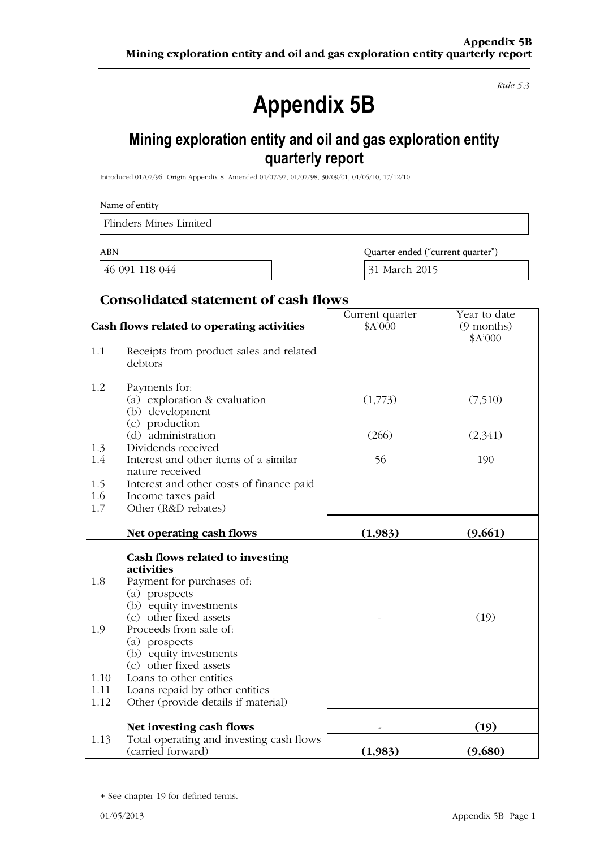Rule 5.3

## **Appendix 5B**

### Mining exploration entity and oil and gas exploration entity quarterly report

Introduced 01/07/96 Origin Appendix 8 Amended 01/07/97, 01/07/98, 30/09/01, 01/06/10, 17/12/10

|                      | Name of entity                                                                                   |                                   |                                       |  |
|----------------------|--------------------------------------------------------------------------------------------------|-----------------------------------|---------------------------------------|--|
|                      | <b>Flinders Mines Limited</b>                                                                    |                                   |                                       |  |
| <b>ABN</b>           |                                                                                                  | Quarter ended ("current quarter") |                                       |  |
|                      | 46 091 118 044                                                                                   | 31 March 2015                     |                                       |  |
|                      | <b>Consolidated statement of cash flows</b>                                                      |                                   |                                       |  |
|                      | Cash flows related to operating activities                                                       | Current quarter<br>\$A'000        | Year to date<br>(9 months)<br>\$A'000 |  |
| 1.1                  | Receipts from product sales and related<br>debtors                                               |                                   |                                       |  |
| 1.2                  | Payments for:<br>(a) exploration & evaluation<br>(b) development<br>(c) production               | (1,773)                           | (7,510)                               |  |
|                      | (d) administration                                                                               | (266)                             | (2,341)                               |  |
| 1.3<br>1.4           | Dividends received<br>Interest and other items of a similar<br>nature received                   | 56                                | 190                                   |  |
| 1.5<br>1.6<br>1.7    | Interest and other costs of finance paid<br>Income taxes paid<br>Other (R&D rebates)             |                                   |                                       |  |
|                      | Net operating cash flows                                                                         | (1,983)                           | (9,661)                               |  |
|                      | Cash flows related to investing<br>activities                                                    |                                   |                                       |  |
| 1.8                  | Payment for purchases of:<br>(a) prospects<br>(b) equity investments<br>(c) other fixed assets   |                                   | (19)                                  |  |
| 1.9                  | Proceeds from sale of:<br>(a) prospects<br>(b) equity investments<br>(c) other fixed assets      |                                   |                                       |  |
| 1.10<br>1.11<br>1.12 | Loans to other entities<br>Loans repaid by other entities<br>Other (provide details if material) |                                   |                                       |  |
|                      | Net investing cash flows                                                                         |                                   | (19)                                  |  |
| 1.13                 | Total operating and investing cash flows<br>(carried forward)                                    | (1,983)                           | (9,680)                               |  |

<sup>+</sup> See chapter 19 for defined terms.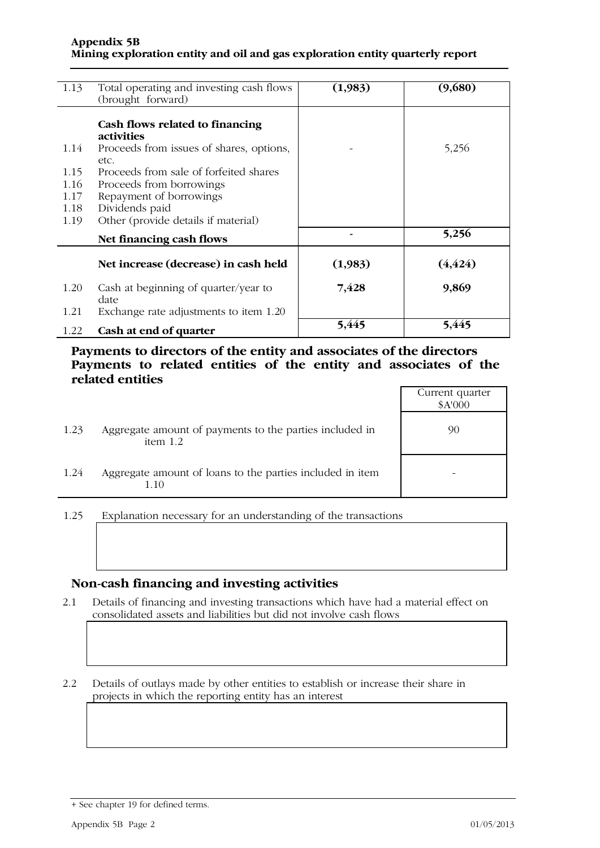| 1.13 | Total operating and investing cash flows<br>(brought forward) | (1,983) | (9,680)  |
|------|---------------------------------------------------------------|---------|----------|
|      | Cash flows related to financing<br><i>activities</i>          |         |          |
| 1.14 | Proceeds from issues of shares, options,<br>etc.              |         | 5,256    |
| 1.15 | Proceeds from sale of forfeited shares                        |         |          |
| 1.16 | Proceeds from borrowings                                      |         |          |
| 1.17 | Repayment of borrowings                                       |         |          |
| 1.18 | Dividends paid                                                |         |          |
| 1.19 | Other (provide details if material)                           |         |          |
|      | Net financing cash flows                                      |         | 5,256    |
|      | Net increase (decrease) in cash held                          | (1,983) | (4, 424) |
| 1.20 | Cash at beginning of quarter/year to<br>date                  | 7,428   | 9,869    |
| 1.21 | Exchange rate adjustments to item 1.20                        |         |          |
| 1.22 | Cash at end of quarter                                        | 5,445   | 5,445    |

Payments to directors of the entity and associates of the directors Payments to related entities of the entity and associates of the related entities

|      |                                                                       | Current quarter<br>\$A'000 |
|------|-----------------------------------------------------------------------|----------------------------|
| 1.23 | Aggregate amount of payments to the parties included in<br>item $1.2$ | 90                         |
| 1.24 | Aggregate amount of loans to the parties included in item<br>1.10     |                            |

Explanation necessary for an understanding of the transactions 1.25

#### Non-cash financing and investing activities

Details of financing and investing transactions which have had a material effect on  $2.1$ consolidated assets and liabilities but did not involve cash flows

 $2.2$ Details of outlays made by other entities to establish or increase their share in projects in which the reporting entity has an interest

<sup>+</sup> See chapter 19 for defined terms.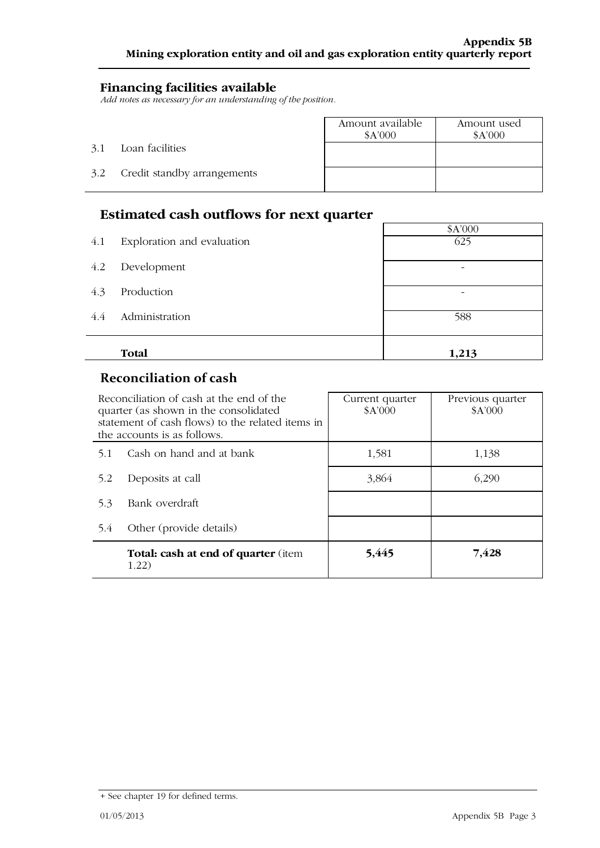### **Financing facilities available**

Add notes as necessary for an understanding of the position.

|     |                             | Amount available<br>\$A'000 | Amount used<br>\$A'000 |
|-----|-----------------------------|-----------------------------|------------------------|
| 3.1 | Loan facilities             |                             |                        |
| 3.2 | Credit standby arrangements |                             |                        |
|     |                             |                             |                        |

### Estimated cash outflows for next quarter

|     | Estimated cash outflows for next quarter |         |  |  |  |  |
|-----|------------------------------------------|---------|--|--|--|--|
|     |                                          | \$A'000 |  |  |  |  |
| 4.1 | Exploration and evaluation               | 625     |  |  |  |  |
| 4.2 | Development                              |         |  |  |  |  |
| 4.3 | Production                               | -       |  |  |  |  |
| 4.4 | Administration                           | 588     |  |  |  |  |
|     | Total                                    | 1,213   |  |  |  |  |

### **Reconciliation of cash**

J.

| Reconciliation of cash at the end of the<br>quarter (as shown in the consolidated<br>statement of cash flows) to the related items in<br>the accounts is as follows. |                                                     | Current quarter<br>\$A'000 | Previous quarter<br>\$A'000 |  |
|----------------------------------------------------------------------------------------------------------------------------------------------------------------------|-----------------------------------------------------|----------------------------|-----------------------------|--|
| 5.1                                                                                                                                                                  | Cash on hand and at bank                            | 1,581                      | 1,138                       |  |
| 5.2                                                                                                                                                                  | Deposits at call                                    | 3,864                      | 6,290                       |  |
| 5.3                                                                                                                                                                  | Bank overdraft                                      |                            |                             |  |
| 5.4                                                                                                                                                                  | Other (provide details)                             |                            |                             |  |
|                                                                                                                                                                      | <b>Total: cash at end of quarter (item</b><br>1.22) | 5,445                      | 7,428                       |  |

 $\overline{\phantom{0}}$ 

<sup>+</sup> See chapter 19 for defined terms.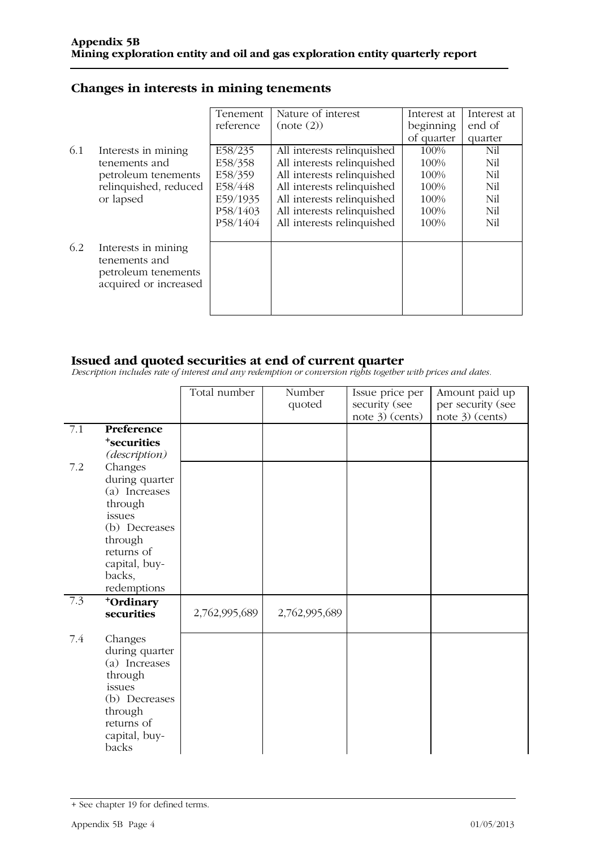### Changes in interests in mining tenements

|     |                                                                                      | Tenement  | Nature of interest         | Interest at | Interest at |
|-----|--------------------------------------------------------------------------------------|-----------|----------------------------|-------------|-------------|
|     |                                                                                      | reference | (note (2))                 | beginning   | end of      |
|     |                                                                                      |           |                            | of quarter  | quarter     |
| 6.1 | Interests in mining                                                                  | E58/235   | All interests relinquished | 100%        | Nil         |
|     | tenements and                                                                        | E58/358   | All interests relinquished | 100%        | Nil         |
|     | petroleum tenements                                                                  | E58/359   | All interests relinquished | 100%        | Nil         |
|     | relinquished, reduced                                                                | E58/448   | All interests relinquished | 100%        | Nil         |
|     | or lapsed                                                                            | E59/1935  | All interests relinquished | 100%        | Nil         |
|     |                                                                                      | P58/1403  | All interests relinquished | 100%        | Nil         |
|     |                                                                                      | P58/1404  | All interests relinquished | 100%        | Nil         |
|     |                                                                                      |           |                            |             |             |
| 6.2 | Interests in mining<br>tenements and<br>petroleum tenements<br>acquired or increased |           |                            |             |             |

**Issued and quoted securities at end of current quarter**<br>Description includes rate of interest and any redemption or conversion rights together with prices and dates.

|     |                                                                                                                                                     | Total number  | Number<br>quoted | Issue price per<br>security (see<br>note 3) (cents) | Amount paid up<br>per security (see<br>note 3) (cents) |
|-----|-----------------------------------------------------------------------------------------------------------------------------------------------------|---------------|------------------|-----------------------------------------------------|--------------------------------------------------------|
| 7.1 | Preference<br><sup>+</sup> securities<br>(description)                                                                                              |               |                  |                                                     |                                                        |
| 7.2 | Changes<br>during quarter<br>(a) Increases<br>through<br>issues<br>(b) Decreases<br>through<br>returns of<br>capital, buy-<br>backs,<br>redemptions |               |                  |                                                     |                                                        |
| 7.3 | +Ordinary<br>securities                                                                                                                             | 2,762,995,689 | 2,762,995,689    |                                                     |                                                        |
| 7.4 | Changes<br>during quarter<br>(a) Increases<br>through<br>issues<br>(b) Decreases<br>through<br>returns of<br>capital, buy-<br>backs                 |               |                  |                                                     |                                                        |

<sup>+</sup> See chapter 19 for defined terms.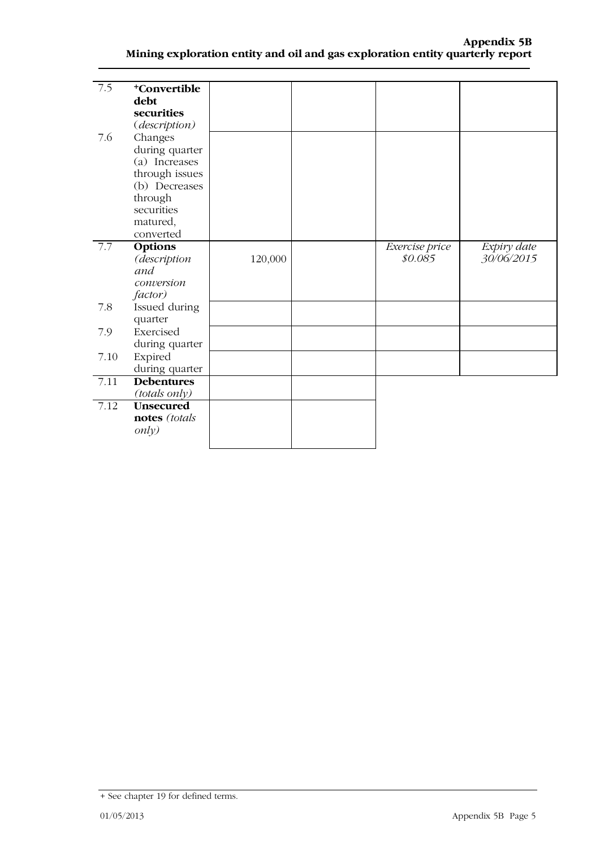| $\overline{7.5}$ | <sup>+</sup> Convertible |         |                |             |
|------------------|--------------------------|---------|----------------|-------------|
|                  | debt                     |         |                |             |
|                  | securities               |         |                |             |
|                  | (description)            |         |                |             |
| 7.6              | Changes                  |         |                |             |
|                  | during quarter           |         |                |             |
|                  | (a) Increases            |         |                |             |
|                  | through issues           |         |                |             |
|                  | (b) Decreases            |         |                |             |
|                  | through                  |         |                |             |
|                  | securities               |         |                |             |
|                  | matured,                 |         |                |             |
|                  | converted                |         |                |             |
| 7.7              | Options                  |         | Exercise price | Expiry date |
|                  | (description             | 120,000 | \$0.085        | 30/06/2015  |
|                  | and                      |         |                |             |
|                  | conversion               |         |                |             |
|                  | factor)                  |         |                |             |
| 7.8              | Issued during            |         |                |             |
|                  | quarter                  |         |                |             |
| 7.9              | Exercised                |         |                |             |
|                  | during quarter           |         |                |             |
| 7.10             | Expired                  |         |                |             |
|                  | during quarter           |         |                |             |
| 7.11             | <b>Debentures</b>        |         |                |             |
|                  | (totals only)            |         |                |             |
| 7.12             | <b>Unsecured</b>         |         |                |             |
|                  | notes (totals            |         |                |             |
|                  | only)                    |         |                |             |
|                  |                          |         |                |             |

<sup>+</sup> See chapter 19 for defined terms.